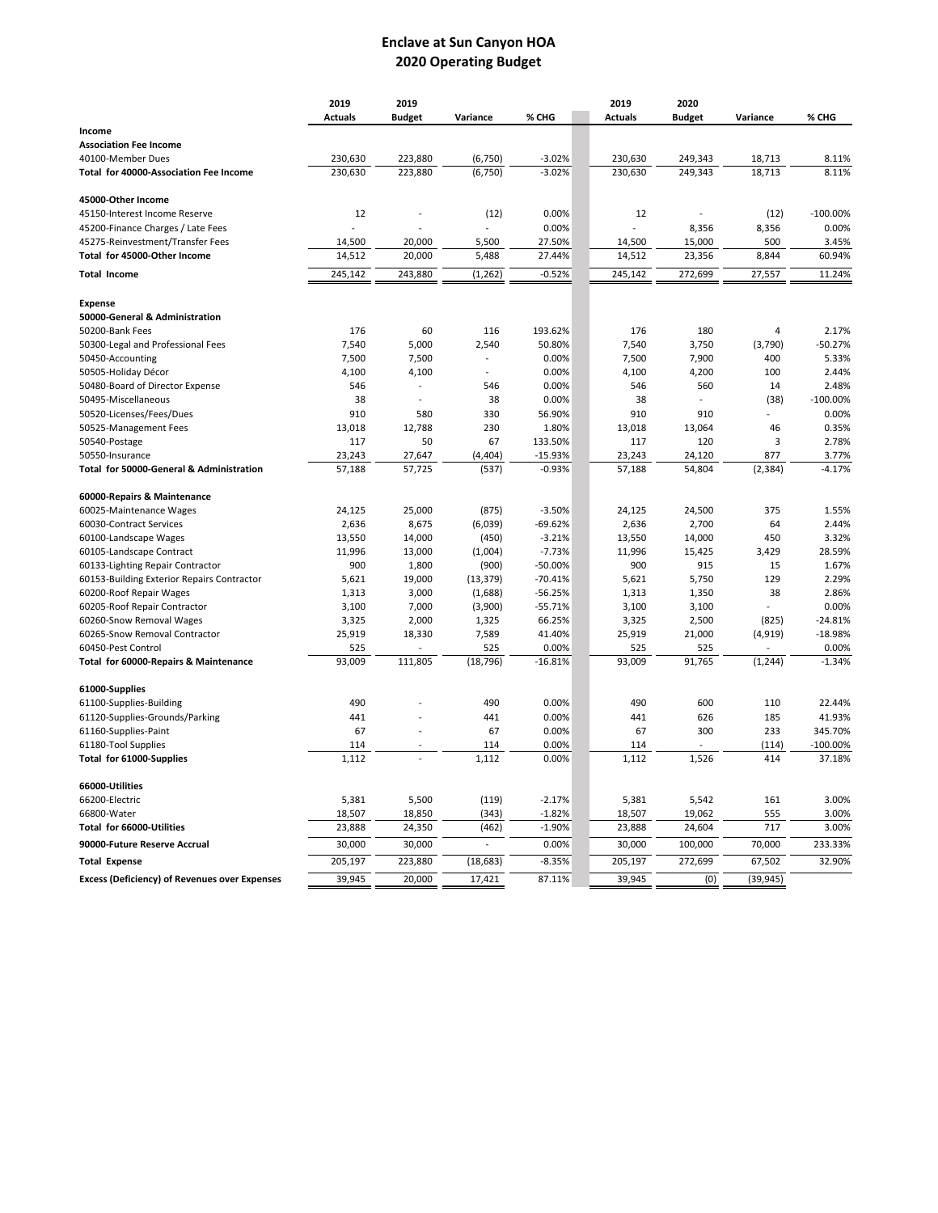## **Enclave at Sun Canyon HOA Operating Budget**

|                                                      | 2019           | 2019          |                          |           | 2019           | 2020          |           |             |
|------------------------------------------------------|----------------|---------------|--------------------------|-----------|----------------|---------------|-----------|-------------|
|                                                      | <b>Actuals</b> | <b>Budget</b> | Variance                 | % CHG     | <b>Actuals</b> | <b>Budget</b> | Variance  | % CHG       |
| Income                                               |                |               |                          |           |                |               |           |             |
| <b>Association Fee Income</b>                        |                |               |                          |           |                |               |           |             |
| 40100-Member Dues                                    | 230,630        | 223,880       | (6, 750)                 | $-3.02%$  | 230,630        | 249,343       | 18,713    | 8.11%       |
| Total for 40000-Association Fee Income               | 230,630        | 223,880       | (6, 750)                 | $-3.02%$  | 230,630        | 249,343       | 18,713    | 8.11%       |
| 45000-Other Income                                   |                |               |                          |           |                |               |           |             |
| 45150-Interest Income Reserve                        | 12             |               | (12)                     | 0.00%     | 12             |               | (12)      | $-100.00\%$ |
| 45200-Finance Charges / Late Fees                    |                |               |                          | 0.00%     |                | 8,356         | 8,356     | 0.00%       |
| 45275-Reinvestment/Transfer Fees                     | 14,500         | 20,000        | 5,500                    | 27.50%    | 14,500         | 15,000        | 500       | 3.45%       |
| Total for 45000-Other Income                         | 14,512         | 20,000        | 5,488                    | 27.44%    | 14,512         | 23,356        | 8,844     | 60.94%      |
| <b>Total Income</b>                                  | 245,142        | 243,880       | (1, 262)                 | $-0.52%$  | 245,142        | 272,699       | 27,557    | 11.24%      |
| <b>Expense</b>                                       |                |               |                          |           |                |               |           |             |
| 50000-General & Administration                       |                |               |                          |           |                |               |           |             |
| 50200-Bank Fees                                      | 176            | 60            | 116                      | 193.62%   | 176            | 180           | 4         | 2.17%       |
| 50300-Legal and Professional Fees                    | 7,540          | 5,000         | 2,540                    | 50.80%    | 7,540          | 3,750         | (3,790)   | $-50.27%$   |
| 50450-Accounting                                     | 7,500          | 7,500         |                          | 0.00%     | 7,500          | 7,900         | 400       | 5.33%       |
| 50505-Holiday Décor                                  | 4,100          | 4,100         |                          | 0.00%     | 4,100          | 4,200         | 100       | 2.44%       |
| 50480-Board of Director Expense                      | 546            |               | 546                      | 0.00%     | 546            | 560           | 14        | 2.48%       |
| 50495-Miscellaneous                                  | 38             |               | 38                       | 0.00%     | 38             |               | (38)      | $-100.00%$  |
| 50520-Licenses/Fees/Dues                             | 910            | 580           | 330                      | 56.90%    | 910            | 910           |           | 0.00%       |
| 50525-Management Fees                                | 13,018         | 12,788        | 230                      | 1.80%     | 13,018         | 13,064        | 46        | 0.35%       |
| 50540-Postage                                        | 117            | 50            | 67                       | 133.50%   | 117            | 120           | 3         | 2.78%       |
| 50550-Insurance                                      | 23,243         | 27,647        | (4, 404)                 | $-15.93%$ | 23,243         | 24,120        | 877       | 3.77%       |
| Total for 50000-General & Administration             | 57,188         | 57,725        | (537)                    | $-0.93%$  | 57,188         | 54,804        | (2, 384)  | $-4.17%$    |
| 60000-Repairs & Maintenance                          |                |               |                          |           |                |               |           |             |
| 60025-Maintenance Wages                              | 24,125         | 25,000        | (875)                    | $-3.50%$  | 24,125         | 24,500        | 375       | 1.55%       |
| 60030-Contract Services                              | 2,636          | 8,675         | (6,039)                  | $-69.62%$ | 2,636          | 2,700         | 64        | 2.44%       |
| 60100-Landscape Wages                                | 13,550         | 14,000        | (450)                    | $-3.21%$  | 13,550         | 14,000        | 450       | 3.32%       |
| 60105-Landscape Contract                             | 11,996         | 13,000        | (1,004)                  | $-7.73%$  | 11,996         | 15,425        | 3,429     | 28.59%      |
| 60133-Lighting Repair Contractor                     | 900            | 1,800         | (900)                    | $-50.00%$ | 900            | 915           | 15        | 1.67%       |
| 60153-Building Exterior Repairs Contractor           | 5,621          | 19,000        | (13, 379)                | $-70.41%$ | 5,621          | 5,750         | 129       | 2.29%       |
| 60200-Roof Repair Wages                              | 1,313          | 3,000         | (1,688)                  | $-56.25%$ | 1,313          | 1,350         | 38        | 2.86%       |
| 60205-Roof Repair Contractor                         | 3,100          | 7,000         | (3,900)                  | $-55.71%$ | 3,100          | 3,100         |           | 0.00%       |
| 60260-Snow Removal Wages                             | 3,325          | 2,000         | 1,325                    | 66.25%    | 3,325          | 2,500         | (825)     | $-24.81%$   |
| 60265-Snow Removal Contractor                        | 25,919         | 18,330        | 7,589                    | 41.40%    | 25,919         | 21,000        | (4, 919)  | $-18.98%$   |
| 60450-Pest Control                                   | 525            |               | 525                      | 0.00%     | 525            | 525           |           | 0.00%       |
| Total for 60000-Repairs & Maintenance                | 93,009         | 111,805       | (18, 796)                | $-16.81%$ | 93,009         | 91,765        | (1, 244)  | $-1.34%$    |
| 61000-Supplies                                       |                |               |                          |           |                |               |           |             |
| 61100-Supplies-Building                              | 490            |               | 490                      | 0.00%     | 490            | 600           | 110       | 22.44%      |
| 61120-Supplies-Grounds/Parking                       | 441            |               | 441                      | 0.00%     | 441            | 626           | 185       | 41.93%      |
| 61160-Supplies-Paint                                 | 67             |               | 67                       | 0.00%     | 67             | 300           | 233       | 345.70%     |
| 61180-Tool Supplies                                  | 114            |               | 114                      | 0.00%     | 114            |               | (114)     | $-100.00\%$ |
| Total for 61000-Supplies                             | 1,112          |               | 1,112                    | 0.00%     | 1,112          | 1,526         | 414       | 37.18%      |
| 66000-Utilities                                      |                |               |                          |           |                |               |           |             |
| 66200-Electric                                       | 5,381          | 5,500         | (119)                    | $-2.17%$  | 5,381          | 5,542         | 161       | 3.00%       |
| 66800-Water                                          | 18,507         | 18,850        | (343)                    | $-1.82%$  | 18,507         | 19,062        | 555       | 3.00%       |
| Total for 66000-Utilities                            | 23,888         | 24,350        | (462)                    | $-1.90%$  | 23,888         | 24,604        | 717       | 3.00%       |
| 90000-Future Reserve Accrual                         | 30,000         | 30,000        | $\overline{\phantom{a}}$ | 0.00%     | 30,000         | 100,000       | 70,000    | 233.33%     |
| <b>Total Expense</b>                                 | 205,197        | 223,880       | (18, 683)                | $-8.35%$  | 205,197        | 272,699       | 67,502    | 32.90%      |
| <b>Excess (Deficiency) of Revenues over Expenses</b> | 39,945         | 20,000        | 17,421                   | 87.11%    | 39,945         | (0)           | (39, 945) |             |
|                                                      |                |               |                          |           |                |               |           |             |